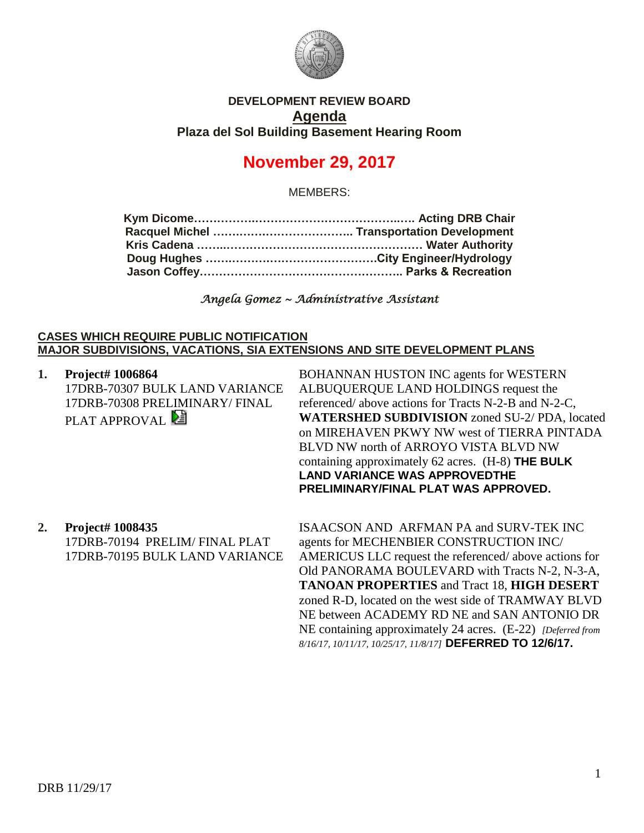

## **DEVELOPMENT REVIEW BOARD Agenda Plaza del Sol Building Basement Hearing Room**

# **November 29, 2017**

MEMBERS:

*Angela Gomez ~ Administrative Assistant* 

#### **CASES WHICH REQUIRE PUBLIC NOTIFICATION MAJOR SUBDIVISIONS, VACATIONS, SIA EXTENSIONS AND SITE DEVELOPMENT PLANS**

| 1. | Project# 1006864<br>17DRB-70307 BULK LAND VARIANCE<br>17DRB-70308 PRELIMINARY/ FINAL<br>PLAT APPROVAL <sup>[24]</sup> | <b>BOHANNAN HUSTON INC agents for WESTERN</b><br>ALBUQUERQUE LAND HOLDINGS request the<br>referenced/ above actions for Tracts N-2-B and N-2-C,<br><b>WATERSHED SUBDIVISION</b> zoned SU-2/PDA, located<br>on MIREHAVEN PKWY NW west of TIERRA PINTADA<br>BLVD NW north of ARROYO VISTA BLVD NW<br>containing approximately $62$ acres. (H-8) THE BULK<br><b>LAND VARIANCE WAS APPROVEDTHE</b><br>PRELIMINARY/FINAL PLAT WAS APPROVED. |
|----|-----------------------------------------------------------------------------------------------------------------------|----------------------------------------------------------------------------------------------------------------------------------------------------------------------------------------------------------------------------------------------------------------------------------------------------------------------------------------------------------------------------------------------------------------------------------------|
| 2. | Project# 1008435<br>17DRB-70194 PRELIM/FINAL PLAT<br>17DRB-70195 BULK LAND VARIANCE                                   | <b>ISAACSON AND ARFMAN PA and SURV-TEK INC</b><br>agents for MECHENBIER CONSTRUCTION INC/<br>AMERICUS LLC request the referenced/above actions for<br>Old PANORAMA BOULEVARD with Tracts N-2, N-3-A,<br><b>TANOAN PROPERTIES and Tract 18, HIGH DESERT</b><br>zoned R-D, located on the west side of TRAMWAY BLVD                                                                                                                      |

NE between ACADEMY RD NE and SAN ANTONIO DR NE containing approximately 24 acres. (E-22) *[Deferred from 8/16/17, 10/11/17, 10/25/17, 11/8/17]* **DEFERRED TO 12/6/17.**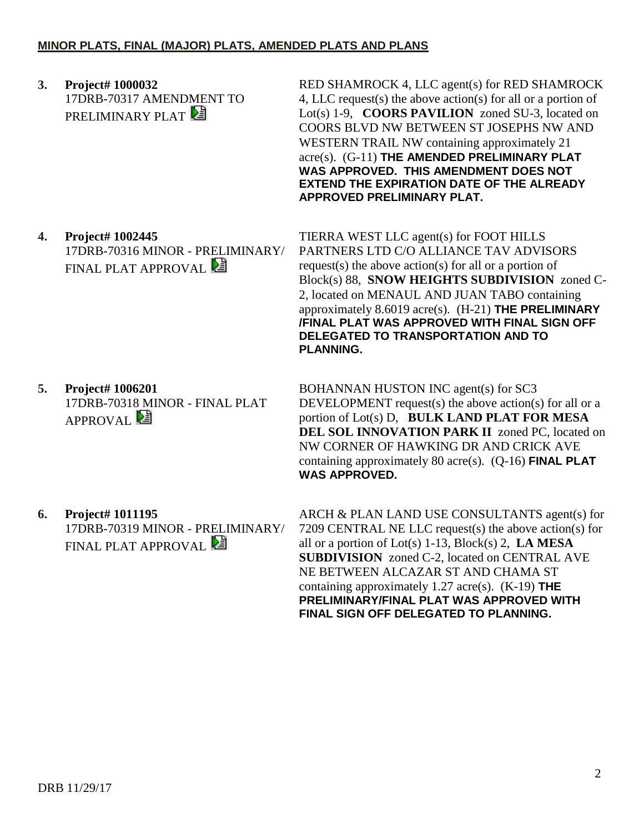**3. Project# 1000032** 17DRB-70317 AMENDMENT TO PRELIMINARY PLAT

RED SHAMROCK 4, LLC agent(s) for RED SHAMROCK 4, LLC request(s) the above action(s) for all or a portion of Lot(s) 1-9, **COORS PAVILION** zoned SU-3, located on COORS BLVD NW BETWEEN ST JOSEPHS NW AND WESTERN TRAIL NW containing approximately 21 acre(s). (G-11) **THE AMENDED PRELIMINARY PLAT WAS APPROVED. THIS AMENDMENT DOES NOT EXTEND THE EXPIRATION DATE OF THE ALREADY APPROVED PRELIMINARY PLAT.**

**4. Project# 1002445** 17DRB-70316 MINOR - PRELIMINARY/ FINAL PLAT APPROVAL **E** 

**5. Project# 1006201** 17DRB-70318 MINOR - FINAL PLAT APPROVAL<sup>E</sup>

TIERRA WEST LLC agent(s) for FOOT HILLS PARTNERS LTD C/O ALLIANCE TAV ADVISORS request(s) the above action(s) for all or a portion of Block(s) 88, **SNOW HEIGHTS SUBDIVISION** zoned C-2, located on MENAUL AND JUAN TABO containing approximately 8.6019 acre(s). (H-21) **THE PRELIMINARY /FINAL PLAT WAS APPROVED WITH FINAL SIGN OFF DELEGATED TO TRANSPORTATION AND TO PLANNING.**

BOHANNAN HUSTON INC agent(s) for SC3 DEVELOPMENT request(s) the above action(s) for all or a portion of Lot(s) D, **BULK LAND PLAT FOR MESA DEL SOL INNOVATION PARK II** zoned PC, located on NW CORNER OF HAWKING DR AND CRICK AVE containing approximately 80 acre(s). (Q-16) **FINAL PLAT WAS APPROVED.**

**6. Project# 1011195** 17DRB-70319 MINOR - PRELIMINARY/ FINAL PLAT APPROVAL **E** 

ARCH & PLAN LAND USE CONSULTANTS agent(s) for 7209 CENTRAL NE LLC request(s) the above action(s) for all or a portion of Lot(s) 1-13, Block(s) 2, **LA MESA SUBDIVISION** zoned C-2, located on CENTRAL AVE NE BETWEEN ALCAZAR ST AND CHAMA ST containing approximately 1.27 acre(s). (K-19) **THE PRELIMINARY/FINAL PLAT WAS APPROVED WITH FINAL SIGN OFF DELEGATED TO PLANNING.**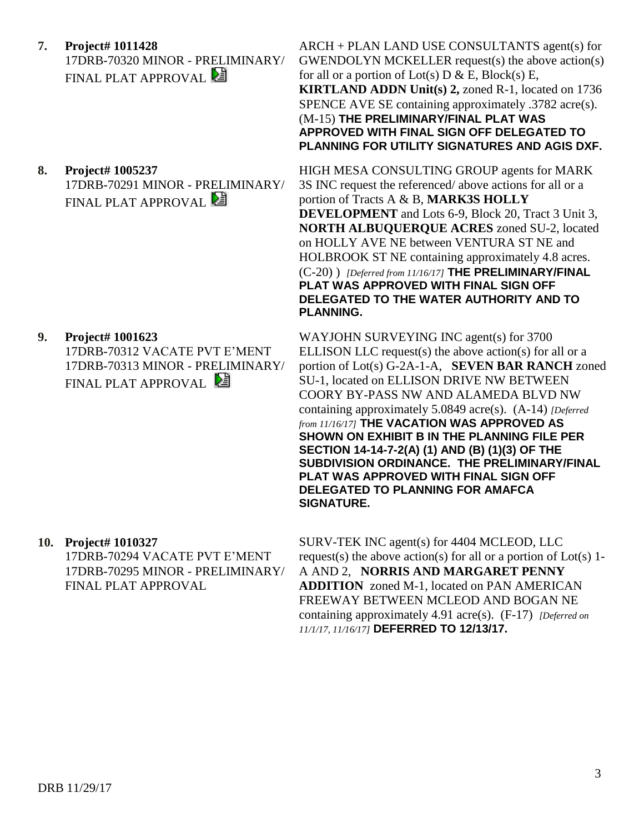- **7. Project# 1011428** 17DRB-70320 MINOR - PRELIMINARY/ FINAL PLAT APPROVAL
- **8. Project# 1005237** 17DRB-70291 MINOR - PRELIMINARY/

**FINAL PLAT APPROVAL** 

**9. Project# 1001623** 17DRB-70312 VACATE PVT E'MENT 17DRB-70313 MINOR - PRELIMINARY/ FINAL PLAT APPROVAL

ARCH + PLAN LAND USE CONSULTANTS agent(s) for GWENDOLYN MCKELLER request(s) the above action(s) for all or a portion of  $Lot(s)$  D & E, Block(s) E, **KIRTLAND ADDN Unit(s) 2,** zoned R-1, located on 1736 SPENCE AVE SE containing approximately .3782 acre(s). (M-15) **THE PRELIMINARY/FINAL PLAT WAS APPROVED WITH FINAL SIGN OFF DELEGATED TO PLANNING FOR UTILITY SIGNATURES AND AGIS DXF.**

HIGH MESA CONSULTING GROUP agents for MARK 3S INC request the referenced/ above actions for all or a portion of Tracts A & B, **MARK3S HOLLY DEVELOPMENT** and Lots 6-9, Block 20, Tract 3 Unit 3, **NORTH ALBUQUERQUE ACRES** zoned SU-2, located on HOLLY AVE NE between VENTURA ST NE and HOLBROOK ST NE containing approximately 4.8 acres. (C-20) ) *[Deferred from 11/16/17]* **THE PRELIMINARY/FINAL PLAT WAS APPROVED WITH FINAL SIGN OFF DELEGATED TO THE WATER AUTHORITY AND TO PLANNING.**

WAYJOHN SURVEYING INC agent(s) for 3700 ELLISON LLC request(s) the above action(s) for all or a portion of Lot(s) G-2A-1-A, **SEVEN BAR RANCH** zoned SU-1, located on ELLISON DRIVE NW BETWEEN COORY BY-PASS NW AND ALAMEDA BLVD NW containing approximately 5.0849 acre(s). (A-14) *[Deferred from 11/16/17]* **THE VACATION WAS APPROVED AS SHOWN ON EXHIBIT B IN THE PLANNING FILE PER SECTION 14-14-7-2(A) (1) AND (B) (1)(3) OF THE SUBDIVISION ORDINANCE. THE PRELIMINARY/FINAL PLAT WAS APPROVED WITH FINAL SIGN OFF DELEGATED TO PLANNING FOR AMAFCA SIGNATURE.**

### **10. Project# 1010327**

17DRB-70294 VACATE PVT E'MENT 17DRB-70295 MINOR - PRELIMINARY/ FINAL PLAT APPROVAL

SURV-TEK INC agent(s) for 4404 MCLEOD, LLC request(s) the above action(s) for all or a portion of  $Lot(s)$  1-A AND 2, **NORRIS AND MARGARET PENNY ADDITION** zoned M-1, located on PAN AMERICAN FREEWAY BETWEEN MCLEOD AND BOGAN NE containing approximately 4.91 acre(s). (F-17) *[Deferred on 11/1/17, 11/16/17]* **DEFERRED TO 12/13/17.**